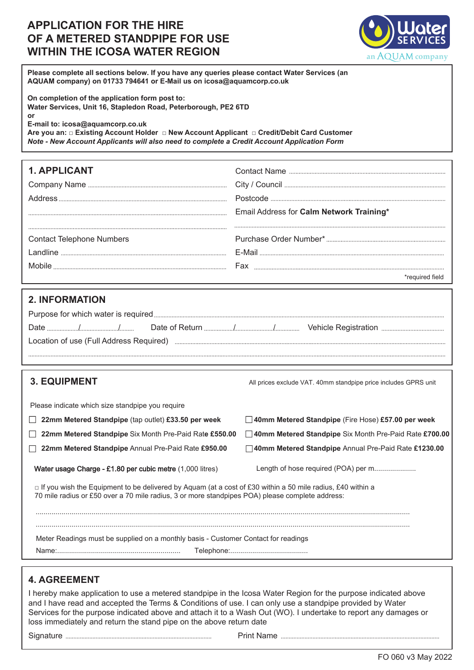## **APPLICATION FOR THE HIRE OF A METERED STANDPIPE FOR USE WITHIN THE ICOSA WATER REGION**



**Please complete all sections below. If you have any queries please contact Water Services (an AQUAM company) on 01733 794641 or E-Mail us on icosa@aquamcorp.co.uk** 

**On completion of the application form post to: Water Services, Unit 16, Stapledon Road, Peterborough, PE2 6TD or**

**E-mail to: icosa@aquamcorp.co.uk**

**Are you an: Ƒ Existing Account Holder Ƒ New Account Applicant Ƒ Credit/Debit Card Customer** *Note - New Account Applicants will also need to complete a Credit Account Application Form*

| <b>1. APPLICANT</b>              |                                          |
|----------------------------------|------------------------------------------|
|                                  |                                          |
|                                  |                                          |
|                                  | Email Address for Calm Network Training* |
|                                  |                                          |
| <b>Contact Telephone Numbers</b> |                                          |
|                                  |                                          |
|                                  |                                          |
|                                  |                                          |

### **2. INFORMATION**

| <b>3. EQUIPMENT</b> |  |
|---------------------|--|
|---------------------|--|

**3. EQUIPMENT** All prices exclude VAT. 40mm standpipe price includes GPRS unit

| Please indicate which size standpipe you require |  |
|--------------------------------------------------|--|
|                                                  |  |
|                                                  |  |

**22mm Metered Standpipe** (tap outlet) **£33.50 per week**

**22mm Metered Standpipe** Six Month Pre-Paid Rat**e £550.00**

**22mm Metered Standpipe** Annual Pre-Paid Rate **£950.00**

Water usage Charge - £1.80 per cubic metre (1,000 litres) Length of hose required (POA) per m.....................

**40mm Metered Standpipe** (Fire Hose) **£57.00 per week**

**40mm Metered Standpipe** Six Month Pre-Paid Rate **£700.00 40mm Metered Standpipe** Annual Pre-Paid Rate **£1230.00**

|  | $\mathbf{r}$ and $\mathbf{r}$ and $\mathbf{r}$ and $\mathbf{r}$ and $\mathbf{r}$ and $\mathbf{r}$ and $\mathbf{r}$ and $\mathbf{r}$ and $\mathbf{r}$ and $\mathbf{r}$ and $\mathbf{r}$ and $\mathbf{r}$ and $\mathbf{r}$ and $\mathbf{r}$ and $\mathbf{r}$ and $\mathbf{r}$ and $\mathbf{r}$ and |  |
|--|--------------------------------------------------------------------------------------------------------------------------------------------------------------------------------------------------------------------------------------------------------------------------------------------------|--|

 $\Box$  If you wish the Equipment to be delivered by Aquam (at a cost of £30 within a 50 mile radius, £40 within a 70 mile radius or £50 over a 70 mile radius, 3 or more standpipes POA) please complete address:

............................................................................................................................................................................................

............................................................................................................................................................................................ Meter Readings must be supplied on a monthly basis - Customer Contact for readings

Name:.............................................................. Telephone:.......................................

## **4. AGREEMENT**

I hereby make application to use a metered standpipe in the Icosa Water Region for the purpose indicated above and I have read and accepted the Terms & Conditions of use. I can only use a standpipe provided by Water Services for the purpose indicated above and attach it to a Wash Out (WO). I undertake to report any damages or loss immediately and return the stand pipe on the above return date

Signature **Election Construction Construction** Print Name **Election Construction Construction Construction** Construction Construction Construction Construction Construction Construction Construction Construction Constructi